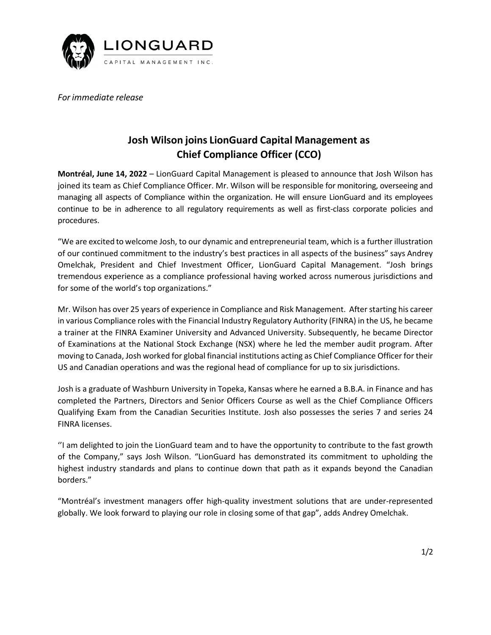

*For immediate release*

## **Josh Wilson joins LionGuard Capital Management as Chief Compliance Officer (CCO)**

**Montréal, June 14, 2022** – LionGuard Capital Management is pleased to announce that Josh Wilson has joined its team as Chief Compliance Officer. Mr. Wilson will be responsible for monitoring, overseeing and managing all aspects of Compliance within the organization. He will ensure LionGuard and its employees continue to be in adherence to all regulatory requirements as well as first-class corporate policies and procedures.

"We are excited to welcome Josh, to our dynamic and entrepreneurial team, which is a further illustration of our continued commitment to the industry's best practices in all aspects of the business" says Andrey Omelchak, President and Chief Investment Officer, LionGuard Capital Management. "Josh brings tremendous experience as a compliance professional having worked across numerous jurisdictions and for some of the world's top organizations."

Mr. Wilson has over 25 years of experience in Compliance and Risk Management. After starting his career in various Compliance roles with the Financial Industry Regulatory Authority (FINRA) in the US, he became a trainer at the FINRA Examiner University and Advanced University. Subsequently, he became Director of Examinations at the National Stock Exchange (NSX) where he led the member audit program. After moving to Canada, Josh worked for global financial institutions acting as Chief Compliance Officer for their US and Canadian operations and was the regional head of compliance for up to six jurisdictions.

Josh is a graduate of Washburn University in Topeka, Kansas where he earned a B.B.A. in Finance and has completed the Partners, Directors and Senior Officers Course as well as the Chief Compliance Officers Qualifying Exam from the Canadian Securities Institute. Josh also possesses the series 7 and series 24 FINRA licenses.

''I am delighted to join the LionGuard team and to have the opportunity to contribute to the fast growth of the Company," says Josh Wilson. "LionGuard has demonstrated its commitment to upholding the highest industry standards and plans to continue down that path as it expands beyond the Canadian borders."

"Montréal's investment managers offer high-quality investment solutions that are under-represented globally. We look forward to playing our role in closing some of that gap", adds Andrey Omelchak.